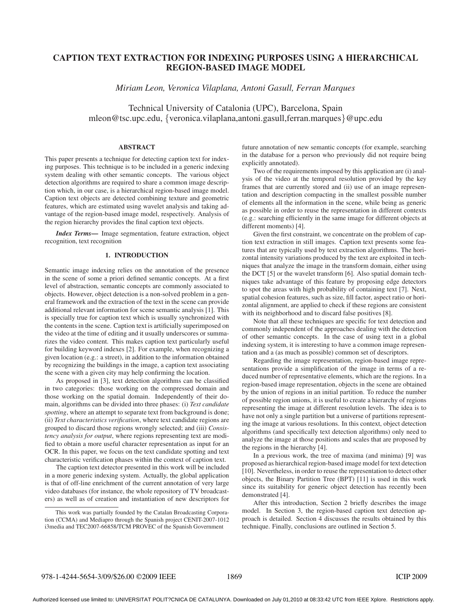# CAPTION TEXT EXTRACTION FOR INDEXING PURPOSES USING A HIERARCHICAL REGION-BASED IMAGE MODEL

*Miriam Leon, Veronica Vilaplana, Antoni Gasull, Ferran Marques*

Technical University of Catalonia (UPC), Barcelona, Spain mleon@tsc.upc.edu, {veronica.vilaplana,antoni.gasull,ferran.marques}@upc.edu

## ABSTRACT

This paper presents a technique for detecting caption text for indexing purposes. This technique is to be included in a generic indexing system dealing with other semantic concepts. The various object detection algorithms are required to share a common image description which, in our case, is a hierarchical region-based image model. Caption text objects are detected combining texture and geometric features, which are estimated using wavelet analysis and taking advantage of the region-based image model, respectively. Analysis of the region hierarchy provides the final caption text objects.

*Index Terms*— Image segmentation, feature extraction, object recognition, text recognition

# 1. INTRODUCTION

Semantic image indexing relies on the annotation of the presence in the scene of some a priori defined semantic concepts. At a first level of abstraction, semantic concepts are commonly associated to objects. However, object detection is a non-solved problem in a general framework and the extraction of the text in the scene can provide additional relevant information for scene semantic analysis [1]. This is specially true for caption text which is usually synchronized with the contents in the scene. Caption text is artificially superimposed on the video at the time of editing and it usually underscores or summarizes the video content. This makes caption text particularly useful for building keyword indexes [2]. For example, when recognizing a given location (e.g.: a street), in addition to the information obtained by recognizing the buildings in the image, a caption text associating the scene with a given city may help confirming the location.

As proposed in [3], text detection algorithms can be classified in two categories: those working on the compressed domain and those working on the spatial domain. Independently of their domain, algorithms can be divided into three phases: (i) *Text candidate spotting*, where an attempt to separate text from background is done; (ii) *Text characteristics verification*, where text candidate regions are grouped to discard those regions wrongly selected; and (iii) *Consistency analysis for output*, where regions representing text are modified to obtain a more useful character representation as input for an OCR. In this paper, we focus on the text candidate spotting and text characteristic verification phases within the context of caption text.

The caption text detector presented in this work will be included in a more generic indexing system. Actually, the global application is that of off-line enrichment of the current annotation of very large video databases (for instance, the whole repository of TV broadcasters) as well as of creation and instantiation of new descriptors for future annotation of new semantic concepts (for example, searching in the database for a person who previously did not require being explicitly annotated).

Two of the requirements imposed by this application are (i) analysis of the video at the temporal resolution provided by the key frames that are currently stored and (ii) use of an image representation and description compacting in the smallest possible number of elements all the information in the scene, while being as generic as possible in order to reuse the representation in different contexts (e.g.: searching efficiently in the same image for different objects at different moments) [4].

Given the first constraint, we concentrate on the problem of caption text extraction in still images. Caption text presents some features that are typically used by text extraction algorithms. The horizontal intensity variations produced by the text are exploited in techniques that analyze the image in the transform domain, either using the DCT [5] or the wavelet transform [6]. Also spatial domain techniques take advantage of this feature by proposing edge detectors to spot the areas with high probability of containing text [7]. Next, spatial cohesion features, such as size, fill factor, aspect ratio or horizontal alignment, are applied to check if these regions are consistent with its neighborhood and to discard false positives [8].

Note that all these techniques are specific for text detection and commonly independent of the approaches dealing with the detection of other semantic concepts. In the case of using text in a global indexing system, it is interesting to have a common image representation and a (as much as possible) common set of descriptors.

Regarding the image representation, region-based image representations provide a simplification of the image in terms of a reduced number of representative elements, which are the regions. In a region-based image representation, objects in the scene are obtained by the union of regions in an initial partition. To reduce the number of possible region unions, it is useful to create a hierarchy of regions representing the image at different resolution levels. The idea is to have not only a single partition but a universe of partitions representing the image at various resolutions. In this context, object detection algorithms (and specifically text detection algorithms) only need to analyze the image at those positions and scales that are proposed by the regions in the hierarchy [4].

In a previous work, the tree of maxima (and minima) [9] was proposed as hierarchical region-based image model for text detection [10]. Nevertheless, in order to reuse the representation to detect other objects, the Binary Partition Tree (BPT) [11] is used in this work since its suitability for generic object detection has recently been demonstrated [4].

After this introduction, Section 2 briefly describes the image model. In Section 3, the region-based caption text detection approach is detailed. Section 4 discusses the results obtained by this technique. Finally, conclusions are outlined in Section 5.

This work was partially founded by the Catalan Broadcasting Corporation (CCMA) and Mediapro through the Spanish project CENIT-2007-1012 i3media and TEC2007-66858/TCM PROVEC of the Spanish Government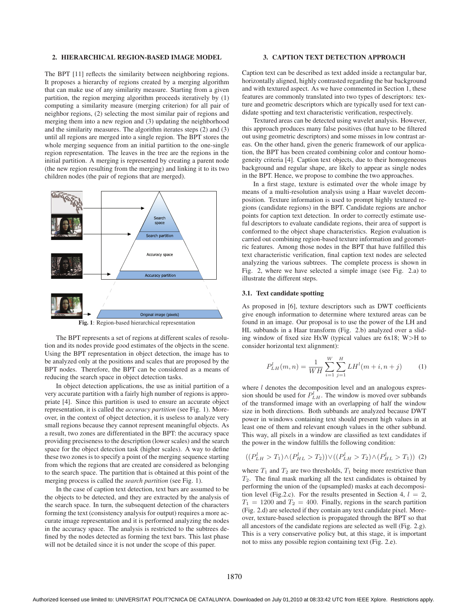#### 2. HIERARCHICAL REGION-BASED IMAGE MODEL

The BPT [11] reflects the similarity between neighboring regions. It proposes a hierarchy of regions created by a merging algorithm that can make use of any similarity measure. Starting from a given partition, the region merging algorithm proceeds iteratively by (1) computing a similarity measure (merging criterion) for all pair of neighbor regions, (2) selecting the most similar pair of regions and merging them into a new region and (3) updating the neighborhood and the similarity measures. The algorithm iterates steps (2) and (3) until all regions are merged into a single region. The BPT stores the whole merging sequence from an initial partition to the one-single region representation. The leaves in the tree are the regions in the initial partition. A merging is represented by creating a parent node (the new region resulting from the merging) and linking it to its two children nodes (the pair of regions that are merged).



Fig. 1: Region-based hierarchical representation

The BPT represents a set of regions at different scales of resolution and its nodes provide good estimates of the objects in the scene. Using the BPT representation in object detection, the image has to be analyzed only at the positions and scales that are proposed by the BPT nodes. Therefore, the BPT can be considered as a means of reducing the search space in object detection tasks.

In object detection applications, the use as initial partition of a very accurate partition with a fairly high number of regions is appropriate [4]. Since this partition is used to ensure an accurate object representation, it is called the *accuracy partition* (see Fig. 1). Moreover, in the context of object detection, it is useless to analyze very small regions because they cannot represent meaningful objects. As a result, two zones are differentiated in the BPT: the accuracy space providing preciseness to the description (lower scales) and the search space for the object detection task (higher scales). A way to define these two zones is to specify a point of the merging sequence starting from which the regions that are created are considered as belonging to the search space. The partition that is obtained at this point of the merging process is called the *search partition* (see Fig. 1).

In the case of caption text detection, text bars are assumed to be the objects to be detected, and they are extracted by the analysis of the search space. In turn, the subsequent detection of the characters forming the text (consistency analysis for output) requires a more accurate image representation and it is performed analyzing the nodes in the accuracy space. The analysis is restricted to the subtrees defined by the nodes detected as forming the text bars. This last phase will not be detailed since it is not under the scope of this paper.

### 3. CAPTION TEXT DETECTION APPROACH

Caption text can be described as text added inside a rectangular bar, horizontally aligned, highly contrasted regarding the bar background and with textured aspect. As we have commented in Section 1, these features are commonly translated into two types of descriptors: texture and geometric descriptors which are typically used for text candidate spotting and text characteristic verification, respectively.

Textured areas can be detected using wavelet analysis. However, this approach produces many false positives (that have to be filtered out using geometric descriptors) and some misses in low contrast areas. On the other hand, given the generic framework of our application, the BPT has been created combining color and contour homogeneity criteria [4]. Caption text objects, due to their homogeneous background and regular shape, are likely to appear as single nodes in the BPT. Hence, we propose to combine the two approaches.

In a first stage, texture is estimated over the whole image by means of a multi-resolution analysis using a Haar wavelet decomposition. Texture information is used to prompt highly textured regions (candidate regions) in the BPT. Candidate regions are anchor points for caption text detection. In order to correctly estimate useful descriptors to evaluate candidate regions, their area of support is conformed to the object shape characteristics. Region evaluation is carried out combining region-based texture information and geometric features. Among those nodes in the BPT that have fulfilled this text characteristic verification, final caption text nodes are selected analyzing the various subtrees. The complete process is shown in Fig. 2, where we have selected a simple image (see Fig. 2.a) to illustrate the different steps.

## 3.1. Text candidate spotting

As proposed in [6], texture descriptors such as DWT coefficients give enough information to determine where textured areas can be found in an image. Our proposal is to use the power of the LH and HL subbands in a Haar transform (Fig. 2.b) analyzed over a sliding window of fixed size HxW (typical values are 6x18; W>H to consider horizontal text alignment):

$$
P_{LH}^{l}(m,n) = \frac{1}{WH} \sum_{i=1}^{W} \sum_{j=1}^{H} LH^{l}(m+i, n+j)
$$
 (1)

where  $l$  denotes the decomposition level and an analogous expression should be used for  $P_{LH}^l$ . The window is moved over subbands of the transformed image with an overlapping of half the window size in both directions. Both subbands are analyzed because DWT power in windows containing text should present high values in at least one of them and relevant enough values in the other subband. This way, all pixels in a window are classified as text candidates if the power in the window fulfills the following condition:

$$
((P_{LH}^l > T_1) \wedge (P_{HL}^l > T_2)) \vee ((P_{LH}^l > T_2) \wedge (P_{HL}^l > T_1)) \tag{2}
$$

where  $T_1$  and  $T_2$  are two thresholds,  $T_1$  being more restrictive than  $T_2$ . The final mask marking all the text candidates is obtained by performing the union of the (upsampled) masks at each decomposition level (Fig.2.c). For the results presented in Section 4,  $l = 2$ ,  $T_1 = 1200$  and  $T_2 = 400$ . Finally, regions in the search partition (Fig. 2.d) are selected if they contain any text candidate pixel. Moreover, texture-based selection is propagated through the BPT so that all ancestors of the candidate regions are selected as well (Fig. 2.g). This is a very conservative policy but, at this stage, it is important not to miss any possible region containing text (Fig. 2.e).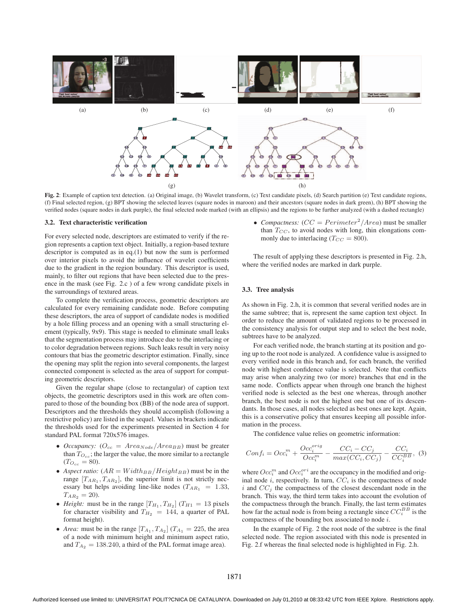

Fig. 2: Example of caption text detection. (a) Original image, (b) Wavelet transform, (c) Text candidate pixels, (d) Search partition (e) Text candidate regions, (f) Final selected region, (g) BPT showing the selected leaves (square nodes in maroon) and their ancestors (square nodes in dark green), (h) BPT showing the verified nodes (square nodes in dark purple), the final selected node marked (with an ellipsis) and the regions to be further analyzed (with a dashed rectangle)

### 3.2. Text characteristic verification

For every selected node, descriptors are estimated to verify if the region represents a caption text object. Initially, a region-based texture descriptor is computed as in eq.(1) but now the sum is performed over interior pixels to avoid the influence of wavelet coefficients due to the gradient in the region boundary. This descriptor is used, mainly, to filter out regions that have been selected due to the presence in the mask (see Fig. 2.c ) of a few wrong candidate pixels in the surroundings of textured areas.

To complete the verification process, geometric descriptors are calculated for every remaining candidate node. Before computing these descriptors, the area of support of candidate nodes is modified by a hole filling process and an opening with a small structuring element (typically, 9x9). This stage is needed to eliminate small leaks that the segmentation process may introduce due to the interlacing or to color degradation between regions. Such leaks result in very noisy contours that bias the geometric descriptor estimation. Finally, since the opening may split the region into several components, the largest connected component is selected as the area of support for computing geometric descriptors.

Given the regular shape (close to rectangular) of caption text objects, the geometric descriptors used in this work are often compared to those of the bounding box (BB) of the node area of support. Descriptors and the thresholds they should accomplish (following a restrictive policy) are listed in the sequel. Values in brackets indicate the thresholds used for the experiments presented in Section 4 for standard PAL format 720x576 images.

- *Occupancy:*  $(O_{cc} = Area_{Node}/Area_{BB})$  must be greater than  $T_{O_{cc}}$ ; the larger the value, the more similar to a rectangle  $(T_{O_{cc}} = 80).$
- Aspect ratio:  $(AR = Width_{BB}/Height_{BB})$  must be in the range  $[T_{AR_1}, T_{AR_2}]$ , the superior limit is not strictly necessary but helps avoiding line-like nodes  $(T_{AR_1} = 1.33,$  $T_{AR_2} = 20$ .
- *Height:* must be in the range  $[T_{H_1}, T_{H_2}]$  ( $T_{H_1} = 13$  pixels for character visibility and  $T_{H_2}$  = 144, a quarter of PAL format height).
- *Area:* must be in the range  $[T_{A_1}, T_{A_2}]$  ( $T_{A_1} = 225$ , the area of a node with minimum height and minimum aspect ratio, and  $T_{A_2} = 138.240$ , a third of the PAL format image area).

• *Compactness:*  $(CC = Perimeter^2/Area)$  must be smaller than  $T_{CC}$ , to avoid nodes with long, thin elongations commonly due to interlacing  $(T_{CC} = 800)$ .

The result of applying these descriptors is presented in Fig. 2.h, where the verified nodes are marked in dark purple.

## 3.3. Tree analysis

As shown in Fig. 2.h, it is common that several verified nodes are in the same subtree; that is, represent the same caption text object. In order to reduce the amount of validated regions to be processed in the consistency analysis for output step and to select the best node, subtrees have to be analyzed.

For each verified node, the branch starting at its position and going up to the root node is analyzed. A confidence value is assigned to every verified node in this branch and, for each branch, the verified node with highest confidence value is selected. Note that conflicts may arise when analyzing two (or more) branches that end in the same node. Conflicts appear when through one branch the highest verified node is selected as the best one whereas, through another branch, the best node is not the highest one but one of its descendants. In those cases, all nodes selected as best ones are kept. Again, this is a conservative policy that ensures keeping all possible information in the process.

The confidence value relies on geometric information:

$$
Conf_i = Occ_i^m + \frac{Occ_i^{orig}}{Occ_i^m} - \frac{CC_i - CC_j}{max(CC_i, CC_j)} - \frac{CC_i}{CC_i^{BB}},
$$
 (3)

where  $Occ_i^m$  and  $Occ_i^{ori}$  are the occupancy in the modified and original node  $i$ , respectively. In turn,  $\overline{CC}_i$  is the compactness of node  $i$  and  $CC<sub>j</sub>$  the compactness of the closest descendant node in the branch. This way, the third term takes into account the evolution of the compactness through the branch. Finally, the last term estimates how far the actual node is from being a rectangle since  $CC_i^{BB}$  is the compactness of the bounding box associated to node i.

In the example of Fig. 2 the root node of the subtree is the final selected node. The region associated with this node is presented in Fig. 2.f whereas the final selected node is highlighted in Fig. 2.h.